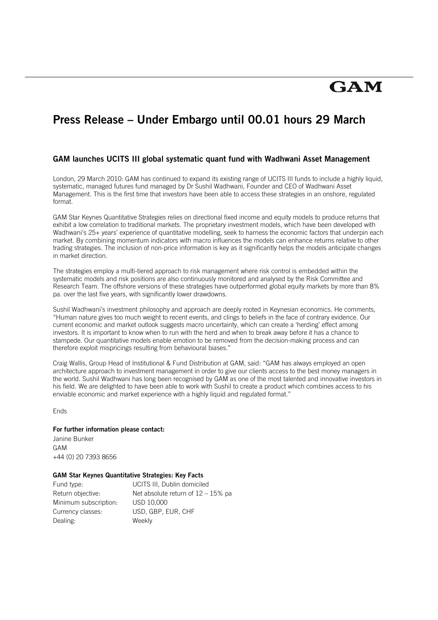# **GAM**

# **Press Release – Under Embargo until 00.01 hours 29 March**

# **GAM launches UCITS III global systematic quant fund with Wadhwani Asset Management**

London, 29 March 2010: GAM has continued to expand its existing range of UCITS III funds to include a highly liquid, systematic, managed futures fund managed by Dr Sushil Wadhwani, Founder and CEO of Wadhwani Asset Management. This is the first time that investors have been able to access these strategies in an onshore, regulated format.

GAM Star Keynes Quantitative Strategies relies on directional fixed income and equity models to produce returns that exhibit a low correlation to traditional markets. The proprietary investment models, which have been developed with Wadhwani's 25+ years' experience of quantitative modelling, seek to harness the economic factors that underpin each market. By combining momentum indicators with macro influences the models can enhance returns relative to other trading strategies. The inclusion of non-price information is key as it significantly helps the models anticipate changes in market direction.

The strategies employ a multi-tiered approach to risk management where risk control is embedded within the systematic models and risk positions are also continuously monitored and analysed by the Risk Committee and Research Team. The offshore versions of these strategies have outperformed global equity markets by more than 8% pa. over the last five years, with significantly lower drawdowns.

Sushil Wadhwani's investment philosophy and approach are deeply rooted in Keynesian economics. He comments, "Human nature gives too much weight to recent events, and clings to beliefs in the face of contrary evidence. Our current economic and market outlook suggests macro uncertainty, which can create a 'herding' effect among investors. It is important to know when to run with the herd and when to break away before it has a chance to stampede. Our quantitative models enable emotion to be removed from the decision-making process and can therefore exploit mispricings resulting from behavioural biases."

Craig Wallis, Group Head of Institutional & Fund Distribution at GAM, said: "GAM has always employed an open architecture approach to investment management in order to give our clients access to the best money managers in the world. Sushil Wadhwani has long been recognised by GAM as one of the most talented and innovative investors in his field. We are delighted to have been able to work with Sushil to create a product which combines access to his enviable economic and market experience with a highly liquid and regulated format."

**Fnds** 

#### **For further information please contact:**

Janine Bunker GAM +44 (0) 20 7393 8656

### **GAM Star Keynes Quantitative Strategies: Key Facts**

| Fund type:            | UCITS III, Dublin domiciled           |
|-----------------------|---------------------------------------|
| Return objective:     | Net absolute return of $12 - 15\%$ pa |
| Minimum subscription: | USD 10.000                            |
| Currency classes:     | USD, GBP, EUR, CHF                    |
| Dealing:              | Weekly                                |